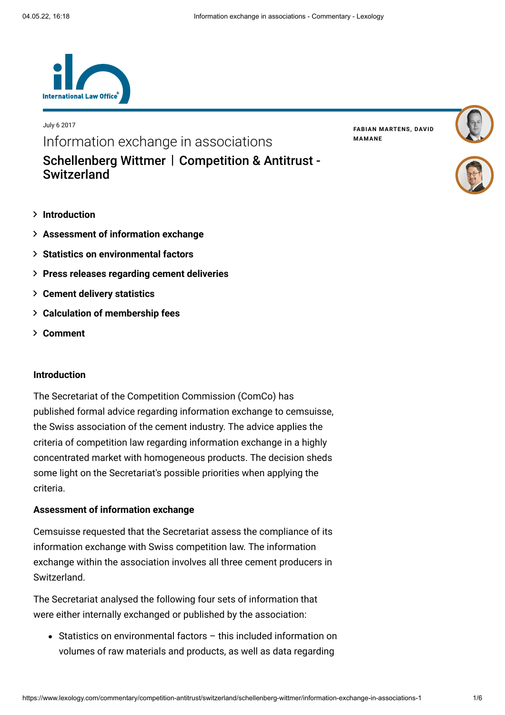

Information exchange in associations

[Schellenberg Wittmer](https://www.lexology.com/contributors/503) | Competition & Antitrust -**Switzerland** 

**[Introduction](#page-0-0)**

July 6 2017

- **[Assessment of information exchange](#page-0-1)**
- **[Statistics on environmental factors](#page-1-0)**
- **[Press releases regarding cement deliveries](#page-2-0)**
- **[Cement delivery statistics](#page-2-1)**
- **[Calculation of membership fees](#page-3-0)**
- **[Comment](#page-3-1)**

## <span id="page-0-0"></span>**Introduction**

The Secretariat of the Competition Commission (ComCo) has published formal advice regarding information exchange to cemsuisse, the Swiss association of the cement industry. The advice applies the criteria of competition law regarding information exchange in a highly concentrated market with homogeneous products. The decision sheds some light on the Secretariat's possible priorities when applying the criteria.

## <span id="page-0-1"></span>**Assessment of information exchange**

Cemsuisse requested that the Secretariat assess the compliance of its information exchange with Swiss competition law. The information exchange within the association involves all three cement producers in Switzerland.

The Secretariat analysed the following four sets of information that were either internally exchanged or published by the association:

Statistics on environmental factors – this included information on volumes of raw materials and products, as well as data regarding

**FABIAN [MARTENS](https://www.lexology.com/503/author/Fabian_Martens/)[,](https://www.lexology.com/503/author/David_Mamane/) DAVID MAMANE**

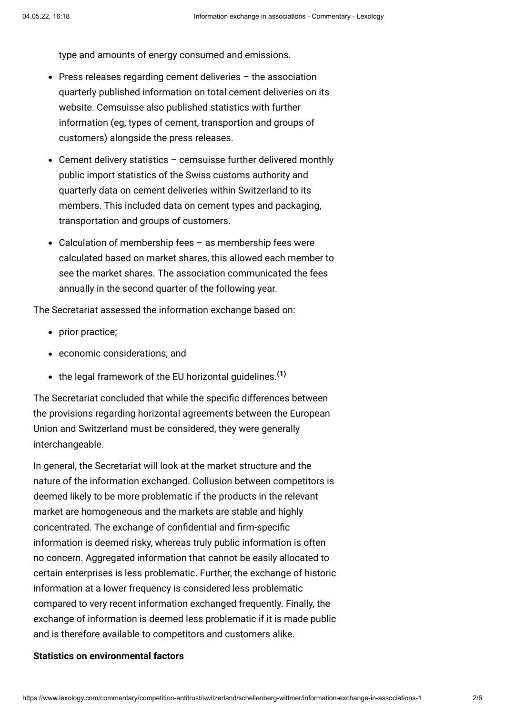type and amounts of energy consumed and emissions.

- $\bullet$  Press releases regarding cement deliveries  $-$  the association quarterly published information on total cement deliveries on its website. Cemsuisse also published statistics with further information (eg, types of cement, transportion and groups of customers) alongside the press releases.
- Cement delivery statistics cemsuisse further delivered monthly public import statistics of the Swiss customs authority and quarterly data on cement deliveries within Switzerland to its members. This included data on cement types and packaging, transportation and groups of customers.
- Calculation of membership fees as membership fees were calculated based on market shares, this allowed each member to see the market shares. The association communicated the fees annually in the second quarter of the following year.

The Secretariat assessed the information exchange based on:

- prior practice;
- economic considerations; and
- the legal framework of the EU horizontal guidelines.**[\(1\)](#page-5-0)**

The Secretariat concluded that while the specific differences between the provisions regarding horizontal agreements between the European Union and Switzerland must be considered, they were generally interchangeable.

In general, the Secretariat will look at the market structure and the nature of the information exchanged. Collusion between competitors is deemed likely to be more problematic if the products in the relevant market are homogeneous and the markets are stable and highly concentrated. The exchange of confidential and firm-specific information is deemed risky, whereas truly public information is often no concern. Aggregated information that cannot be easily allocated to certain enterprises is less problematic. Further, the exchange of historic information at a lower frequency is considered less problematic compared to very recent information exchanged frequently. Finally, the exchange of information is deemed less problematic if it is made public and is therefore available to competitors and customers alike.

# <span id="page-1-0"></span>**Statistics on environmental factors**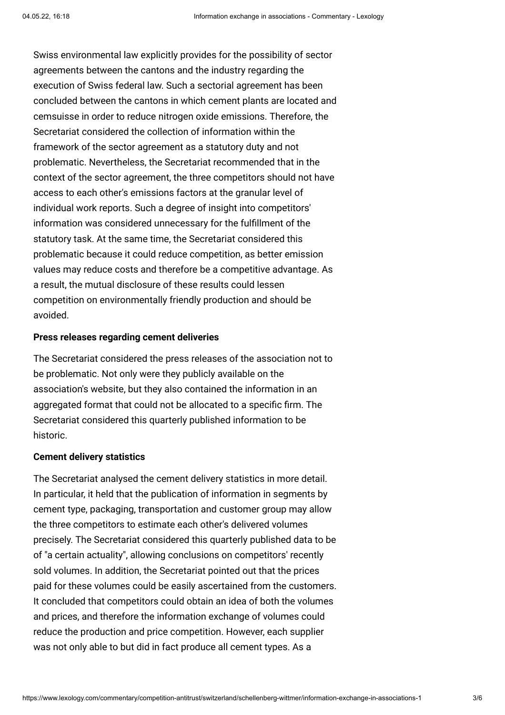Swiss environmental law explicitly provides for the possibility of sector agreements between the cantons and the industry regarding the execution of Swiss federal law. Such a sectorial agreement has been concluded between the cantons in which cement plants are located and cemsuisse in order to reduce nitrogen oxide emissions. Therefore, the Secretariat considered the collection of information within the framework of the sector agreement as a statutory duty and not problematic. Nevertheless, the Secretariat recommended that in the context of the sector agreement, the three competitors should not have access to each other's emissions factors at the granular level of individual work reports. Such a degree of insight into competitors' information was considered unnecessary for the fulfillment of the statutory task. At the same time, the Secretariat considered this problematic because it could reduce competition, as better emission values may reduce costs and therefore be a competitive advantage. As a result, the mutual disclosure of these results could lessen competition on environmentally friendly production and should be avoided.

#### <span id="page-2-0"></span>**Press releases regarding cement deliveries**

The Secretariat considered the press releases of the association not to be problematic. Not only were they publicly available on the association's website, but they also contained the information in an aggregated format that could not be allocated to a specific firm. The Secretariat considered this quarterly published information to be historic.

#### <span id="page-2-1"></span>**Cement delivery statistics**

The Secretariat analysed the cement delivery statistics in more detail. In particular, it held that the publication of information in segments by cement type, packaging, transportation and customer group may allow the three competitors to estimate each other's delivered volumes precisely. The Secretariat considered this quarterly published data to be of "a certain actuality", allowing conclusions on competitors' recently sold volumes. In addition, the Secretariat pointed out that the prices paid for these volumes could be easily ascertained from the customers. It concluded that competitors could obtain an idea of both the volumes and prices, and therefore the information exchange of volumes could reduce the production and price competition. However, each supplier was not only able to but did in fact produce all cement types. As a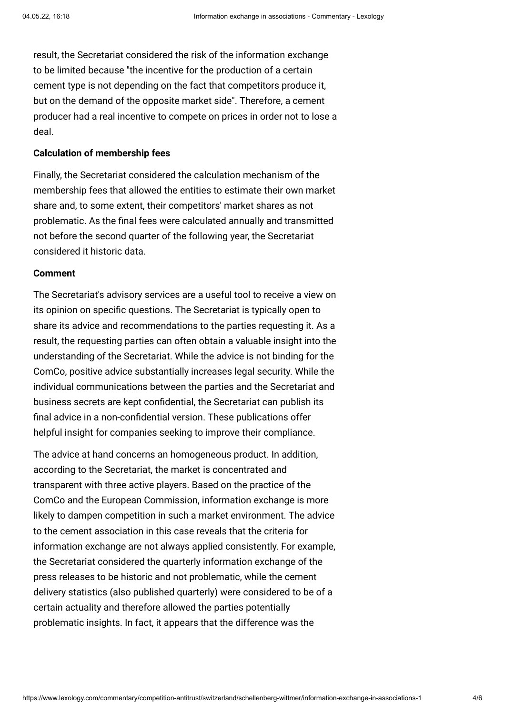result, the Secretariat considered the risk of the information exchange to be limited because "the incentive for the production of a certain cement type is not depending on the fact that competitors produce it, but on the demand of the opposite market side". Therefore, a cement producer had a real incentive to compete on prices in order not to lose a deal.

#### <span id="page-3-0"></span>**Calculation of membership fees**

Finally, the Secretariat considered the calculation mechanism of the membership fees that allowed the entities to estimate their own market share and, to some extent, their competitors' market shares as not problematic. As the final fees were calculated annually and transmitted not before the second quarter of the following year, the Secretariat considered it historic data.

# <span id="page-3-1"></span>**Comment**

The Secretariat's advisory services are a useful tool to receive a view on its opinion on specific questions. The Secretariat is typically open to share its advice and recommendations to the parties requesting it. As a result, the requesting parties can often obtain a valuable insight into the understanding of the Secretariat. While the advice is not binding for the ComCo, positive advice substantially increases legal security. While the individual communications between the parties and the Secretariat and business secrets are kept confidential, the Secretariat can publish its final advice in a non-confidential version. These publications offer helpful insight for companies seeking to improve their compliance.

The advice at hand concerns an homogeneous product. In addition, according to the Secretariat, the market is concentrated and transparent with three active players. Based on the practice of the ComCo and the European Commission, information exchange is more likely to dampen competition in such a market environment. The advice to the cement association in this case reveals that the criteria for information exchange are not always applied consistently. For example, the Secretariat considered the quarterly information exchange of the press releases to be historic and not problematic, while the cement delivery statistics (also published quarterly) were considered to be of a certain actuality and therefore allowed the parties potentially problematic insights. In fact, it appears that the difference was the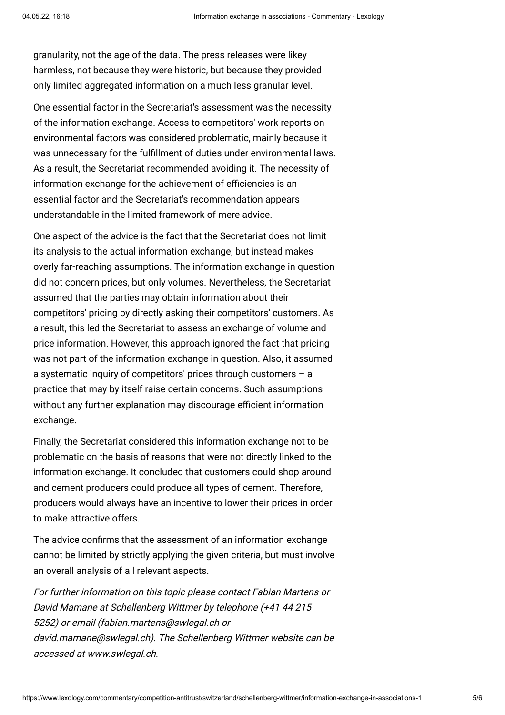granularity, not the age of the data. The press releases were likey harmless, not because they were historic, but because they provided only limited aggregated information on a much less granular level.

One essential factor in the Secretariat's assessment was the necessity of the information exchange. Access to competitors' work reports on environmental factors was considered problematic, mainly because it was unnecessary for the fulfillment of duties under environmental laws. As a result, the Secretariat recommended avoiding it. The necessity of information exchange for the achievement of efficiencies is an essential factor and the Secretariat's recommendation appears understandable in the limited framework of mere advice.

One aspect of the advice is the fact that the Secretariat does not limit its analysis to the actual information exchange, but instead makes overly far-reaching assumptions. The information exchange in question did not concern prices, but only volumes. Nevertheless, the Secretariat assumed that the parties may obtain information about their competitors' pricing by directly asking their competitors' customers. As a result, this led the Secretariat to assess an exchange of volume and price information. However, this approach ignored the fact that pricing was not part of the information exchange in question. Also, it assumed a systematic inquiry of competitors' prices through customers – a practice that may by itself raise certain concerns. Such assumptions without any further explanation may discourage efficient information exchange.

Finally, the Secretariat considered this information exchange not to be problematic on the basis of reasons that were not directly linked to the information exchange. It concluded that customers could shop around and cement producers could produce all types of cement. Therefore, producers would always have an incentive to lower their prices in order to make attractive offers.

The advice confirms that the assessment of an information exchange cannot be limited by strictly applying the given criteria, but must involve an overall analysis of all relevant aspects.

For further information on this topic please contact [Fabian Martens](http://www.internationallawoffice.com/Directory/Schellenberg-Wittmer/Zurich/Fabian-Martens) or [David Mamane](http://www.internationallawoffice.com/Directory/Schellenberg-Wittmer/Zurich/David-Mamane) at Schellenberg Wittmer by telephone (+41 44 215 5252) or email [\(fabian.martens@swlegal.ch](mailto:fabian.martens@swlegal.ch) or [david.mamane@swlegal.ch\)](mailto:david.mamane@swlegal.ch). The Schellenberg Wittmer website can be accessed at [www.swlegal.ch](http://www.swlegal.ch/).